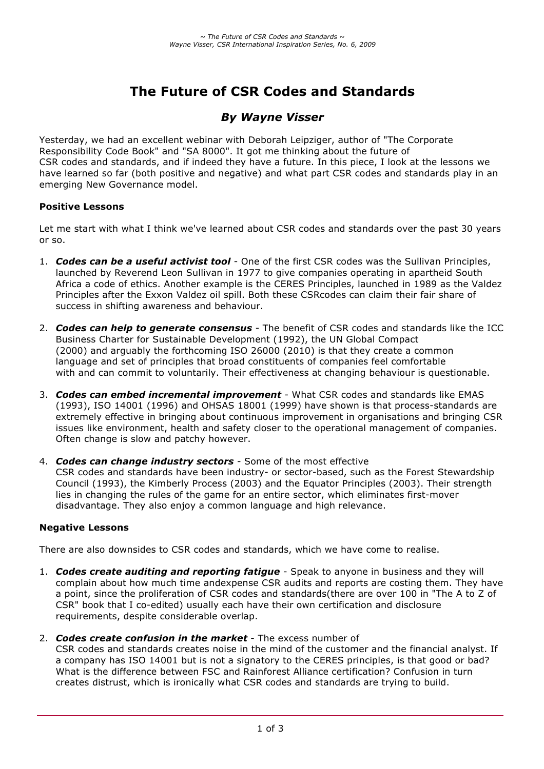# **The Future of CSR Codes and Standards**

# *By Wayne Visser*

Yesterday, we had an excellent webinar with Deborah Leipziger, author of "The Corporate Responsibility Code Book" and "SA 8000". It got me thinking about the future of CSR codes and standards, and if indeed they have a future. In this piece, I look at the lessons we have learned so far (both positive and negative) and what part CSR codes and standards play in an emerging New Governance model.

#### **Positive Lessons**

Let me start with what I think we've learned about CSR codes and standards over the past 30 years or so.

- 1. *Codes can be a useful activist tool* One of the first CSR codes was the Sullivan Principles, launched by Reverend Leon Sullivan in 1977 to give companies operating in apartheid South Africa a code of ethics. Another example is the CERES Principles, launched in 1989 as the Valdez Principles after the Exxon Valdez oil spill. Both these CSRcodes can claim their fair share of success in shifting awareness and behaviour.
- 2. *Codes can help to generate consensus* The benefit of CSR codes and standards like the ICC Business Charter for Sustainable Development (1992), the UN Global Compact (2000) and arguably the forthcoming ISO 26000 (2010) is that they create a common language and set of principles that broad constituents of companies feel comfortable with and can commit to voluntarily. Their effectiveness at changing behaviour is questionable.
- 3. *Codes can embed incremental improvement* What CSR codes and standards like EMAS (1993), ISO 14001 (1996) and OHSAS 18001 (1999) have shown is that process-standards are extremely effective in bringing about continuous improvement in organisations and bringing CSR issues like environment, health and safety closer to the operational management of companies. Often change is slow and patchy however.
- 4. *Codes can change industry sectors* Some of the most effective CSR codes and standards have been industry- or sector-based, such as the Forest Stewardship Council (1993), the Kimberly Process (2003) and the Equator Principles (2003). Their strength lies in changing the rules of the game for an entire sector, which eliminates first-mover disadvantage. They also enjoy a common language and high relevance.

# **Negative Lessons**

There are also downsides to CSR codes and standards, which we have come to realise.

- 1. *Codes create auditing and reporting fatigue* Speak to anyone in business and they will complain about how much time andexpense CSR audits and reports are costing them. They have a point, since the proliferation of CSR codes and standards(there are over 100 in "The A to Z of CSR" book that I co-edited) usually each have their own certification and disclosure requirements, despite considerable overlap.
- 2. *Codes create confusion in the market* The excess number of

CSR codes and standards creates noise in the mind of the customer and the financial analyst. If a company has ISO 14001 but is not a signatory to the CERES principles, is that good or bad? What is the difference between FSC and Rainforest Alliance certification? Confusion in turn creates distrust, which is ironically what CSR codes and standards are trying to build.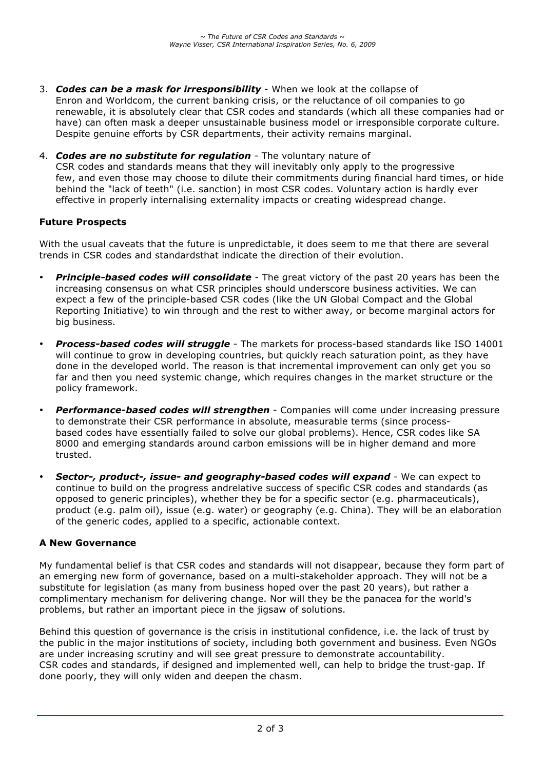- 3. *Codes can be a mask for irresponsibility* When we look at the collapse of Enron and Worldcom, the current banking crisis, or the reluctance of oil companies to go renewable, it is absolutely clear that CSR codes and standards (which all these companies had or have) can often mask a deeper unsustainable business model or irresponsible corporate culture. Despite genuine efforts by CSR departments, their activity remains marginal.
- 4. *Codes are no substitute for regulation* The voluntary nature of CSR codes and standards means that they will inevitably only apply to the progressive few, and even those may choose to dilute their commitments during financial hard times, or hide behind the "lack of teeth" (i.e. sanction) in most CSR codes. Voluntary action is hardly ever effective in properly internalising externality impacts or creating widespread change.

# **Future Prospects**

With the usual caveats that the future is unpredictable, it does seem to me that there are several trends in CSR codes and standardsthat indicate the direction of their evolution.

- *Principle-based codes will consolidate* The great victory of the past 20 years has been the increasing consensus on what CSR principles should underscore business activities. We can expect a few of the principle-based CSR codes (like the UN Global Compact and the Global Reporting Initiative) to win through and the rest to wither away, or become marginal actors for big business.
- *Process-based codes will struggle* The markets for process-based standards like ISO 14001 will continue to grow in developing countries, but quickly reach saturation point, as they have done in the developed world. The reason is that incremental improvement can only get you so far and then you need systemic change, which requires changes in the market structure or the policy framework.
- *Performance-based codes will strengthen* Companies will come under increasing pressure to demonstrate their CSR performance in absolute, measurable terms (since processbased codes have essentially failed to solve our global problems). Hence, CSR codes like SA 8000 and emerging standards around carbon emissions will be in higher demand and more trusted.
- *Sector-, product-, issue- and geography-based codes will expand* We can expect to continue to build on the progress andrelative success of specific CSR codes and standards (as opposed to generic principles), whether they be for a specific sector (e.g. pharmaceuticals), product (e.g. palm oil), issue (e.g. water) or geography (e.g. China). They will be an elaboration of the generic codes, applied to a specific, actionable context.

#### **A New Governance**

My fundamental belief is that CSR codes and standards will not disappear, because they form part of an emerging new form of governance, based on a multi-stakeholder approach. They will not be a substitute for legislation (as many from business hoped over the past 20 years), but rather a complimentary mechanism for delivering change. Nor will they be the panacea for the world's problems, but rather an important piece in the jigsaw of solutions.

Behind this question of governance is the crisis in institutional confidence, i.e. the lack of trust by the public in the major institutions of society, including both government and business. Even NGOs are under increasing scrutiny and will see great pressure to demonstrate accountability. CSR codes and standards, if designed and implemented well, can help to bridge the trust-gap. If done poorly, they will only widen and deepen the chasm.